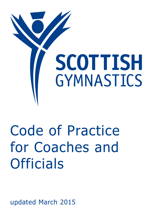

# Code of Practice for Coaches and **Officials**

updated March 2015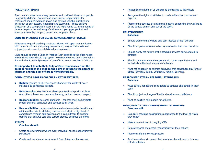#### **Policy Statement**

Sport can and does have a very powerful and positive influence on people - especially children. Not only can sport provide opportunities for enjoyment and achievement, it can also develop valuable qualities and skills such as self-esteem, leadership and teamwork. These positive effects can only take place if sport is in the right hands i.e. in the hands of those who place the wellbeing of children and young people first and adopt practices that support, protect and empower them.

# **Code of Practice for Clubs, Coaches and Officials**

Adherence to good coaching practices, aligned with open communication with parents children and young people should ensure that a safe and enjoyable environment is established and sustained.

Clubs should operate a Code of Practice (CoP) specific to the clubs needs which all members should sign up to. However, the Club CoP should fall in line with the Scottish Gymnastics Code of Practice for Coaches & Officials.

**It is important to note that: Duty of Care commences from the point of receipt of the child to the point of return to the parent or guardian and the duty of care is nontransferable.** 

#### **Conduct for Sports Coaches – Key Principles**

- **Rights:** coaches must respect and champion the rights of every individual to participate in sport.
- **Relationships:** coaches must develop a relationship with athletes (and others) based on openness, honesty, mutual trust and respect.
- **Responsibilities:** personal standards coaches must demonstrate proper personal behaviour and conduct at all times.
- **• Responsibilities:** professional standards to maximise benefits and minimise the risks to athletes, coaches must attain a high level of competence through qualifications and a commitment to ongoing training that ensures safe and correct practice becomes the norm.

#### **Rights**

#### **Coaches should:**

- Create an environment where every individual has the opportunity to participate
- Create and maintain an environment free of fear and harassment
- Recognise the rights of all athletes to be treated as individuals
- Recognise the rights of athletes to confer with other coaches and experts
- Promote the concept of a balanced lifestyle, supporting the well-being of the athlete both in and out of the sport.

# **Relationships**

**Coaches:**

- Should promote the welfare and best interest of their athletes
- • Should empower athletes to be responsible for their own decisions
- Should clarify the nature of the coaching services being offered to athletes
- Should communicate and cooperate with other organisations and individuals in the best interests of athletes
- Must not engage in or tolerate behaviour that constitutes any form of abuse (physical, sexual, emotional, neglect, bullying).

#### **Responsibilities – Personal standards Coaches:**

- Must be fair, honest and considerate to athletes and others in their sport
- Should project an image of health, cleanliness and efficiency
- Must be positive role models for athletes.

# **Responsibilities – Professional standards Coaches will:**

- Gain NGB coaching qualifications appropriate to the level at which they coach
- Make a commitment to ongoing CPD
- Be professional and accept responsibility for their actions
- Promote safe and correct practice
- Provide a safe environment that maximises benefits and minimises risks to athletes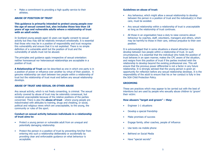• Make a commitment to providing a high quality service to their athletes.

#### **Abuse of Position of Trust**

**This guidance is primarily intended to protect young people over the age of sexual consent but, also includes those less than 18 years of age and vulnerable adults where a relationship of trust with an adult exists.**

In Scotland young people aged 16 years can legally consent to sexual activity but they may still be relatively immature emotionally. It is essential that those who may be in a position of responsibility and trust recognise this vulnerability and ensure that it is not exploited. There is no simple definition of a vulnerable adult but the position of trust and the vulnerability of adults must not be abused.

The principles and guidance apply irrespective of sexual orientation: neither homosexual nor heterosexual relationships are acceptable in a position of trust.

**A Relationship of Trust** can be described as one in which one party is in a position of power or influence over another by virtue of their position. A genuine relationship can start between two people within a relationship of trust but the relationship of trust must end before any sexual relationship develops.

#### **Abuse of Trust and Sexual or other Abuse**

Any sexual activity, which is not freely consenting, is criminal. The sexual activity covered by abuse of trust may be ostensibly consensual, but rendered unacceptable because of the relative positions of the parties concerned. There is also the **abuse of trust** - where young people are indoctrinated with attitudes to training, drugs and cheating, or social, political and religious views which are unacceptable, to the young, the community or rules of the sport.

#### **Conduct on sexual activity between individuals in a relationship of trust aims to:**

- Protect a young person or vulnerable adult from an unequal and potentially damaging relationship.
- Protect the person in a position of trust by preventing him/her from entering into such a relationship deliberately or accidentally by providing clear and enforceable guidance on what behaviour is acceptable.

#### **Guidelines on abuse of trust:**

- Any behaviour, which might allow a sexual relationship to develop between the person in a position of trust and the individual(s) in their care, must be avoided.
- Any sexual relationship within a relationship of trust is unacceptable so long as the relationship of trust continues.
- All those in an organisation have a duty to raise concerns about behaviour by coaches, staff, volunteers, managers and others, which may be harmful to those in their care, without prejudice to their own position.

It is acknowledged that in some situations a shared attraction may develop between two people within a relationship of trust. In such circumstances, it is essential that the individual who holds the position of trust behaves in an open manner, makes the CPC aware of the situation, and resigns from this position of trust if the parties involved wish the relationship to develop beyond the existing professional one. This will ensure that the previous power differential is not a factor in any future relationship. It is strongly advised that the young person is given an opportunity for reflection before any sexual relationship develops. It is the responsibility of the adult to ensure that his or her conduct is fully in line the SGA Child Protection Policy.

# **Grooming**

These are practices which may appear to be carried out with the best of intentions but are used by people who sexually abuse children to 'groom' their victim:

#### **How abusers "target and groom" – they:**

- Engineer 1-1 situations
- Develop a special friendship
- • Make promises of success
- • Engage family, other coaches, people of influence
- Use texts via mobile phone
- Befriend on Social Media
- Have "special secrets"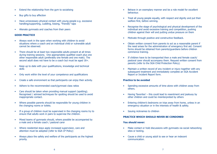- Extend the relationship from the gym to socialising
- Buy gifts to buy affection
- Have unnecessary physical contact with young people e.g. excessive handling/supporting, cuddling, kissing, "friendly" taps
- Alienate gymnasts and coaches from their peers

# **Good Practice**

- Always work in the open when working with children to avoid situations where a coach and an individual child or vulnerable adult cannot be observed.
- There should be at least two responsible adults present at all times during training sessions. One appropriately qualified coach plus one other responsible adult (preferably one female and one male). The second adult does not have to be a coach but must be aged 18+.
- Keep up to date with your qualifications, knowledge and technical skills
- Only work within the level of your competence and qualifications
- Create a safe environment so that participants can enjoy their activity.
- Adhere to the recommended coach/gymnast class ratios
- Care should be taken when providing manual support (spotting). Recognised / advised techniques for spotting should be used to avoid inappropriate contact.
- Where possible parents should be responsible for young children in the changing rooms or toilets.
- If a group of children must be supervised in the changing rooms try to ensure that adults work in pairs to supervise the children.
- Mixed teams of gymnasts should, where possible be accompanied by a male and a female coach / pastoral carer
- Where residential stays apply increased supervision, care and attention must be adopted (refer to SGA CP Policy)
- Always place the safety and welfare of the participants as the highest priority.
- Behave in an exemplary manner and be a role model for excellent behaviour.
- Treat all young people equally, with respect and dignity and put their welfare first, before winning.
- Recognise the stage of psychological and physical development of the individual and avoid excessive training and competition, pushing children against their will and putting undue pressure on them
- Motivate through positive and constructive feedback.
- Obtain written consent from parents to act as a reasonable parent if the need arises for the administration of emergency first aid. Consent forms should be obtained from parents/guardians before children commence training.
- If children have to be transported then a male and female coach/ pastoral carer should accompany them. Request written consent from parents (refer to the SGA Child Protection Policy).
- Maintain a written record of any incident or injury together with any subsequent treatment and immediately complete an SGA Accident Report or Incident Report form.

# **Practice to be avoided**

- • Spending excessive amounts of time alone with children away from others.
- Having 'favorites' this could lead to resentment and jealousy by other children and could be misinterpreted by others
- Entering children's bedrooms on trips away from home, unless in an emergency situation or in the interests of health & safety.
- Issuing nicknames to children

# **Practice which should never be condoned**

#### **You should never:**

- Make contact or hold discussions with gymnasts via social networking sites or texting.
- • Cause a child or young adult to see or hear an indecent communication.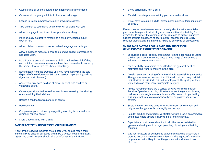- Cause a child or young adult to hear inappropriate conversation
- Cause a child or young adult to look at a sexual image
- Engage in rough, physical or sexually provocative games.
- Take children to your home where they will be alone with you.
- Allow or engage in any form of inappropriate touching.
- Make sexually suggestive remarks to a child or vulnerable adult  $$ even in fun.
- Allow children to swear or use sexualised language unchallenged
- Allow allegations made by a child to go unchallenged, unrecorded or not acted upon.
- Do things of a personal nature for a child or vulnerable adult if they can do it for themselves, unless you have been requested to do so by the parents (do so with the utmost discretion).
- Never depart from the premises until you have supervised the safe dispersal of the children (for SG squad sessions a parent / guardians signature must obtained).
- Abuse your privileged position of power or trust with children or vulnerable adults.
- Cause a participant to lose self esteem by embarrassing, humiliating or undermining the individual.
- • Reduce a child to tears as a form of control
- Have favorites.
- Compromise your position by suggesting anything is your and your gymnasts "special secret"
- Share a room alone with a child

# **Safe Practice in Unforeseen Circumstances**

If any of the following incidents should occur, you should report them immediately to another colleague and make a written note of the event, signed and dated. Parents should also be informed of the incident:

- If you accidentally hurt a child.
- If a child misinterprets something you have said or done.
- If you have to restrain a child (please note: minimum force must only be used).

Many concerns have been expressed recently about what is acceptable practice with regards to stretching exercises and flexibility training for gymnasts. To protect the gymnasts in our care and to protect ourselves against possible allegations of poor practice, coaches must carefully consider their actions and how they might be perceived by an observer.

#### **Important factors for a safe and successful gymnastics flexibility programme:**

- Encourage a good flexibility programme from the beginning as young children are more flexible and once a good range of movement is achieved it is easier to maintain.
- For a flexibility programme to be effective the gymnast must be motivated and want to improve in this area.
- Develop an understanding of why flexibility is essential for gymnastics. The gymnast must understand that if they do not improve / maintain their flexibility it will limit their skill development, the quality of their work and make them more susceptible to injury.
- Always remember there are a variety of ways to stretch, not just 'hands on' passive stretching. Situations where the gymnast is using their own body weight are usually more effective and longer lasting.
- It is important to maintain a balance between passive and active stretch.
- Stretching must only be done in a suitably warm environment and only when the gymnast is thoroughly warmed up.
- Regular, gradual and progressive stretching with a focus on achievable and measureable targets is likely to be far more effective.
- • Expectations must be consistent with all other factors related to gymnastic development i.e. age, potential, physiology and training situation.
- It is not necessary or desirable to experience extreme discomfort in order to become more flexible – in fact it is this aspect of a flexibility programme that is likely to put the gymnast off and make it less effective.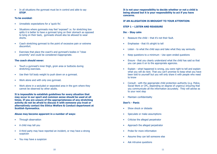• In all situations the gymnast must be in control and able to say **STOP**.

#### **To be avoided:**

- • Unrealistic expectations for a 'quick fix'.
- Situations where gymnasts may feel 'exposed' i.e. for stretching box splits it is better to have a gymnast lying on their stomach as opposed to lying on their back, gymnasts should also be allowed to wear shorts.
- Coach stretching gymnast to the point of excessive pain or extreme discomfort.
- Exercises that place the coach's and gymnast's bodies in "close" proximity" and could be considered inappropriate.

# **The coach should never:**

- Touch a gymnast's inner thigh, groin area or buttocks during stretching exercises.
- Use their full body weight to push down on a gymnast.
- • Work alone and with only one gymnast.
- Work alone in a secluded or separated area in the gym where they cannot be observed by other adults.

**It is impossible to establish guidelines for every situation that may occur in our sport and common sense should be used at all times. If you are unsure of the appropriateness of any stretching activity do not be afraid to discuss it with someone you trust or alternatively contact the Ethics Welfare & Conduct department at Scottish Gymnastics.** 

# **Abuse may become apparent in a number of ways:**

- Through observation
- A child may tell you
- A third party may have reported an incident, or may have a strong suspicion
- You may have a suspicion

**It is not your responsibility to decide whether or not a child is being abused but it is your responsibility to act if you have concerns.**

# **If an allegation is brought to your attention:**

# **Step 1 – Listen and Reassure**

# **Do: - Stay calm**

- Reassure the child  $-$  that it's not their fault.
- • Emphasise that it's alright to tell
- Listen to what the child says and take what they say seriously.
- Keep questions to a minimum Use open ended questions
- Ensure that you clearly understand what the child has said so that you can pass it on to the appropriate agencies.
- Explain what happened is wrong, you were right to tell and explain what you will do next. That you can't promise to keep what you have been told to yourself but you will only share it with people who need to know
- Consult with the appropriate child protection authority (e.g. Police, Social Work or CPC, depending on degree of urgency) ensuring that you communicate all the information accurately. They will advise as to your next step
- Maintain confidentiality

# **Don't: - Panic**

- Show shock or distaste
- Speculate or make assumptions
- • Criticise the alleged perpetrator
- Approach the alleged perpetrator
- Probe for more information
- Assume they can tell someone else
- Ask intrusive questions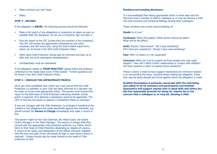- Make promises you can't keep
- Delay.

#### **Step 2 - Record**

If the allegation is **ABUSE**, the following process should be followed:

- Make a full report of any allegations or suspicions on paper as soon as possible after the disclosure, do not use a computer, sign and date it.
- • Give the report to the CPC (unless they are involved in the complaint). The CPC will involve the appropriate authorities as and when necessary and will record this, using the SGA incident report form, which can be found in the SGA Child Protection Policy
- SGA's Head Child Protection should also be informed and kept up to date with any local subsequent developments.
- Confidentiality must be maintained

If the allegation relates to **POOR PRACTICE**, please follow the guidance contained on the inside back cover of this booklet. Further guidance can be found in the SGA Child Protection Policy.

#### **STEP 3 – INVOLVE THE APPROPRIATE PEOPLE**

Once you have completed your report you must ensure that the Child Protection Co ordinator in your Club has been informed so a decision can be made as to the most appropriate action. This person must forward the report to the SGA Head of Child Protection indicating whether further action is required, thus allowing a disciplinary panel to be appointed. The CEO of SGA has the power to appoint a Disciplinary Panel as necessary

If you are unhappy with the Child Protection Co-ordinator's handling of the incident or the allegations are made specifically against this individual, you should contact the **Person in Charge** immediately and make a record of this.

This person might be the Club Chairman, the Head Coach, the Sports Centre Manager, or the Team Manager. The person in charge shall then consult with the appropriate child protection authority e.g. Police, Social Work or SGA Head of Child Protection depending on degree of urgency. A record of the name, and designation of the official informed, together with the time and date of the call should be kept in case future contact is required. Contact should also be made directly to the Head of Child protection at SGA.

#### **Emotions surrounding disclosure:**

It is acknowledged that taking appropriate action is never easy and the discovery that a member of staff or colleague is, or may be abusing a child will raise concerns and emotional feelings among other colleagues.

These emotions may evolve around feelings of:

**Doubt:** Is it true?

**Confusion:** What will happen? What actions should be taken? What will be the effect?

**Guilt:** Should I have known? Did I miss something? Did I have any suspicions? Should I have said something?

**Fear:** Will I or others or I be suspected?

**Concerns:** What can I do to support all those people who may need support? How will it affect further relationships or contact with children? Are there systems in place to expose future situations?

There is clearly a need to have support mechanisms for all those involved in or surrounding the issue, including those making the allegation, those who may be being abused and those against whom the allegation is made.

**Scottish Gymnastics is primarily concerned with the well being and safety of all its members and participants and Scottish Gymnastics will support anyone who in good faith and where he/ she has reasonable grounds for doing so, reports his or her concern that a colleague is, or may be, abusing a child.**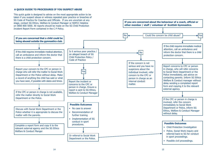#### A QUICK GUIDE TO PROCEDURES IF YOU SUSPECT ABUSE


 This quick guide is designed to advise on the most appropriate action to be 



 taken if you suspect abuse or witness repeated poor practice or breaches of SG Code of Practice for Coaches and Officials. If you are uncertain at any 
 stage, contact SG Ethics, Welfare & Conduct Manager or NSPCC Helpline 
 on 0800 800 5000. All reports should be made on the SG Child Protection



If you are concerned about the behaviour of a coach, official or